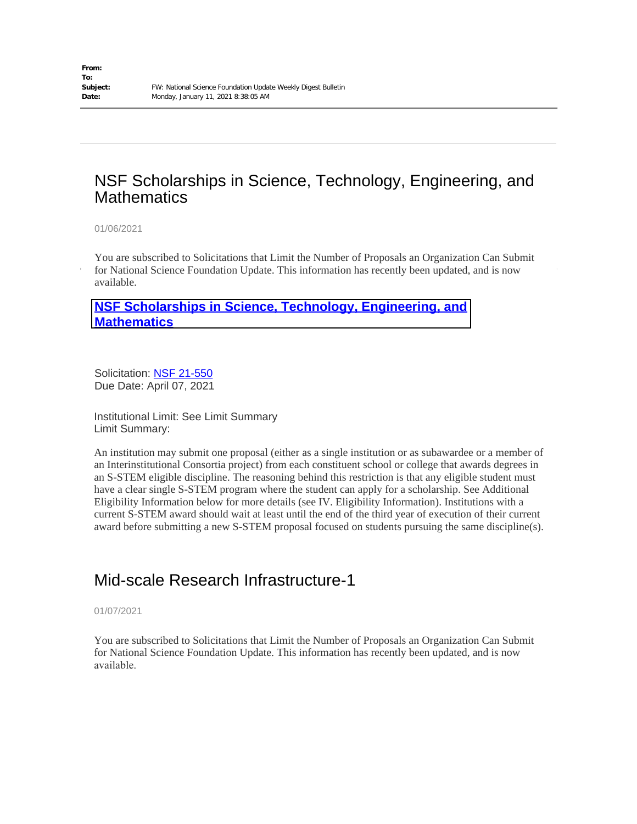## NSF Scholarships in Science, Technology, Engineering, and **Mathematics**

01/06/2021

You are subscribed to Solicitations that Limit the Number of Proposals an Organization Can Submit for National Science Foundation Update. This information has recently been updated, and is now available.

#### **[NSF Scholarships in Science, Technology, Engineering, and](https://www.nsf.gov/funding/pgm_summ.jsp?pims_id=5257&WT.mc_id=USNSF_180&WT.mc_ev=click) Mathematics**

Solicitation: [NSF 21-550](https://lnks.gd/l/eyJhbGciOiJIUzI1NiJ9.eyJlbWFpbCI6ImZvdHVvbnllQHRudGVjaC5lZHUiLCJidWxsZXRpbl9saW5rX2lkIjoiMTAxIiwic3Vic2NyaWJlcl9pZCI6Ijc1NzY0MTM0NSIsImxpbmtfaWQiOiIxMTY2NDk5MzA1IiwidXJpIjoiYnAyOmRpZ2VzdCIsInVybCI6Imh0dHBzOi8vd3d3Lm5zZi5nb3YvcHVibGljYXRpb25zL3B1Yl9zdW1tLmpzcD9vZHNfa2V5PW5zZjIxNTUwIiwiYnVsbGV0aW5faWQiOiIyMDIxMDEwNi4zMjkwMjAxMSJ9.-UZeCig-id849DnD9-beVaOGzH6H7_7NJbFR9JI07_8) Due Date: April 07, 2021

Institutional Limit: See Limit Summary Limit Summary:

[An institution may submit one proposal \(either as a single institution or as subawarde](https://lnks.gd/l/eyJhbGciOiJIUzI1NiJ9.eyJlbWFpbCI6ImZvdHVvbnllQHRudGVjaC5lZHUiLCJidWxsZXRpbl9saW5rX2lkIjoiMTAwIiwic3Vic2NyaWJlcl9pZCI6Ijc1NzY0MTM0NSIsImxpbmtfaWQiOiIxMDkzMjEzNzMiLCJ1cmkiOiJicDI6ZGlnZXN0IiwidXJsIjoiaHR0cHM6Ly93d3cubnNmLmdvdi9mdW5kaW5nL3BnbV9zdW1tLmpzcD9waW1zX2lkPTUyNTcmV1QubWNfaWQ9VVNOU0ZfMTgwJldULm1jX2V2PWNsaWNrIiwiYnVsbGV0aW5faWQiOiIyMDIxMDEwNi4zMjkwMjAxMSJ9.Bb1jThRpxyLL7EHNUYA1_oEukWo3DzEUsHByCQ-WOE4)e or a member of [an Interinstitutiona](https://lnks.gd/l/eyJhbGciOiJIUzI1NiJ9.eyJlbWFpbCI6ImZvdHVvbnllQHRudGVjaC5lZHUiLCJidWxsZXRpbl9saW5rX2lkIjoiMTAwIiwic3Vic2NyaWJlcl9pZCI6Ijc1NzY0MTM0NSIsImxpbmtfaWQiOiIxMDkzMjEzNzMiLCJ1cmkiOiJicDI6ZGlnZXN0IiwidXJsIjoiaHR0cHM6Ly93d3cubnNmLmdvdi9mdW5kaW5nL3BnbV9zdW1tLmpzcD9waW1zX2lkPTUyNTcmV1QubWNfaWQ9VVNOU0ZfMTgwJldULm1jX2V2PWNsaWNrIiwiYnVsbGV0aW5faWQiOiIyMDIxMDEwNi4zMjkwMjAxMSJ9.Bb1jThRpxyLL7EHNUYA1_oEukWo3DzEUsHByCQ-WOE4)l Consortia project) from each constituent school or college that awards degrees in an S-STEM eligible discipline. The reasoning behind this restriction is that any eligible student must have a clear single S-STEM program where the student can apply for a scholarship. See Additional Eligibility Information below for more details (see IV. Eligibility Information). Institutions with a current S-STEM award should wait at least until the end of the third year of execution of their current award before submitting a new S-STEM proposal focused on students pursuing the same discipline(s).

# Mid-scale Research Infrastructure-1

01/07/2021

You are subscribed to Solicitations that Limit the Number of Proposals an Organization Can Submit for National Science Foundation Update. This information has recently been updated, and is now available.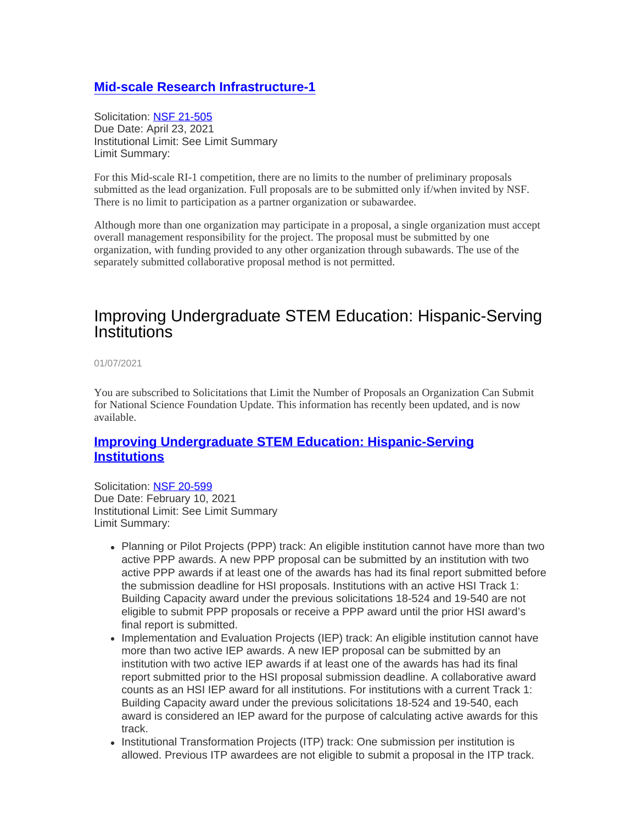#### **[Mid-scale Research Infrastructure-1](https://lnks.gd/l/eyJhbGciOiJIUzI1NiJ9.eyJlbWFpbCI6ImZvdHVvbnllQHRudGVjaC5lZHUiLCJidWxsZXRpbl9saW5rX2lkIjoiMTAwIiwic3Vic2NyaWJlcl9pZCI6Ijc1NzY0MTM0NSIsImxpbmtfaWQiOiI0NjQyODA1ODkiLCJ1cmkiOiJicDI6ZGlnZXN0IiwidXJsIjoiaHR0cHM6Ly93d3cubnNmLmdvdi9mdW5kaW5nL3BnbV9zdW1tLmpzcD9waW1zX2lkPTUwNTYwMiZXVC5tY19pZD1VU05TRl8xODAmV1QubWNfZXY9Y2xpY2siLCJidWxsZXRpbl9pZCI6IjIwMjEwMTA3LjMyOTA3OTcxIn0.94jGoKFSUVTiaJLFWneEyxrUMen6oHBvqh1jryqKMYw)**

Solicitation: [NSF 21-505](https://lnks.gd/l/eyJhbGciOiJIUzI1NiJ9.eyJlbWFpbCI6ImZvdHVvbnllQHRudGVjaC5lZHUiLCJidWxsZXRpbl9saW5rX2lkIjoiMTAxIiwic3Vic2NyaWJlcl9pZCI6Ijc1NzY0MTM0NSIsImxpbmtfaWQiOiIxMDUwNTAwNjQxIiwidXJpIjoiYnAyOmRpZ2VzdCIsInVybCI6Imh0dHBzOi8vd3d3Lm5zZi5nb3YvcHVibGljYXRpb25zL3B1Yl9zdW1tLmpzcD9vZHNfa2V5PW5zZjIxNTA1IiwiYnVsbGV0aW5faWQiOiIyMDIxMDEwNy4zMjkwNzk3MSJ9.Aq06BrVBCK2LRo-infz9pAlZNnew9w35HzOSYGJ07WU) Due Date: April 23, 2021 Institutional Limit: See Limit Summary Limit Summary:

For this Mid-scale RI-1 competition, there are no limits to the number of preliminary proposals submitted as the lead organization. Full proposals are to be submitted only if/when invited by NSF. There is no limit to participation as a partner organization or subawardee.

Although more than one organization may participate in a proposal, a single organization must accept overall management responsibility for the project. The proposal must be submitted by one organization, with funding provided to any other organization through subawards. The use of the separately submitted collaborative proposal method is not permitted.

### Improving Undergraduate STEM Education: Hispanic-Serving **Institutions**

01/07/2021

You are subscribed to Solicitations that Limit the Number of Proposals an Organization Can Submit for National Science Foundation Update. This information has recently been updated, and is now available.

#### **[Improving Undergraduate STEM Education: Hispanic-Serving](https://lnks.gd/l/eyJhbGciOiJIUzI1NiJ9.eyJlbWFpbCI6ImZvdHVvbnllQHRudGVjaC5lZHUiLCJidWxsZXRpbl9saW5rX2lkIjoiMTAwIiwic3Vic2NyaWJlcl9pZCI6Ijc1NzY0MTM0NSIsImxpbmtfaWQiOiIyOTI5MTU5ODUiLCJ1cmkiOiJicDI6ZGlnZXN0IiwidXJsIjoiaHR0cHM6Ly93d3cubnNmLmdvdi9mdW5kaW5nL3BnbV9zdW1tLmpzcD9waW1zX2lkPTUwNTUxMiZXVC5tY19pZD1VU05TRl8xODAmV1QubWNfZXY9Y2xpY2siLCJidWxsZXRpbl9pZCI6IjIwMjEwMTA3LjMyOTUzNjQxIn0.cTu3sHEGa6r68eAsX1JEZoUDVvjPzVbjVcM9mjvKQO0) [Institutions](https://lnks.gd/l/eyJhbGciOiJIUzI1NiJ9.eyJlbWFpbCI6ImZvdHVvbnllQHRudGVjaC5lZHUiLCJidWxsZXRpbl9saW5rX2lkIjoiMTAwIiwic3Vic2NyaWJlcl9pZCI6Ijc1NzY0MTM0NSIsImxpbmtfaWQiOiIyOTI5MTU5ODUiLCJ1cmkiOiJicDI6ZGlnZXN0IiwidXJsIjoiaHR0cHM6Ly93d3cubnNmLmdvdi9mdW5kaW5nL3BnbV9zdW1tLmpzcD9waW1zX2lkPTUwNTUxMiZXVC5tY19pZD1VU05TRl8xODAmV1QubWNfZXY9Y2xpY2siLCJidWxsZXRpbl9pZCI6IjIwMjEwMTA3LjMyOTUzNjQxIn0.cTu3sHEGa6r68eAsX1JEZoUDVvjPzVbjVcM9mjvKQO0)**

Solicitation: [NSF 20-599](https://lnks.gd/l/eyJhbGciOiJIUzI1NiJ9.eyJlbWFpbCI6ImZvdHVvbnllQHRudGVjaC5lZHUiLCJidWxsZXRpbl9saW5rX2lkIjoiMTAxIiwic3Vic2NyaWJlcl9pZCI6Ijc1NzY0MTM0NSIsImxpbmtfaWQiOiI5ODQ0NTkyMzEiLCJ1cmkiOiJicDI6ZGlnZXN0IiwidXJsIjoiaHR0cHM6Ly93d3cubnNmLmdvdi9wdWJsaWNhdGlvbnMvcHViX3N1bW0uanNwP29kc19rZXk9bnNmMjA1OTkiLCJidWxsZXRpbl9pZCI6IjIwMjEwMTA3LjMyOTUzNjQxIn0.PE2ae69lhaHHr2fzVpEXJK20c6_4Oi-awj0Z1Y-IhSQ) Due Date: February 10, 2021 Institutional Limit: See Limit Summary Limit Summary:

- Planning or Pilot Projects (PPP) track: An eligible institution cannot have more than two active PPP awards. A new PPP proposal can be submitted by an institution with two active PPP awards if at least one of the awards has had its final report submitted before the submission deadline for HSI proposals. Institutions with an active HSI Track 1: Building Capacity award under the previous solicitations 18-524 and 19-540 are not eligible to submit PPP proposals or receive a PPP award until the prior HSI award's final report is submitted.
- Implementation and Evaluation Projects (IEP) track: An eligible institution cannot have more than two active IEP awards. A new IEP proposal can be submitted by an institution with two active IEP awards if at least one of the awards has had its final report submitted prior to the HSI proposal submission deadline. A collaborative award counts as an HSI IEP award for all institutions. For institutions with a current Track 1: Building Capacity award under the previous solicitations 18-524 and 19-540, each award is considered an IEP award for the purpose of calculating active awards for this track.
- Institutional Transformation Projects (ITP) track: One submission per institution is allowed. Previous ITP awardees are not eligible to submit a proposal in the ITP track.